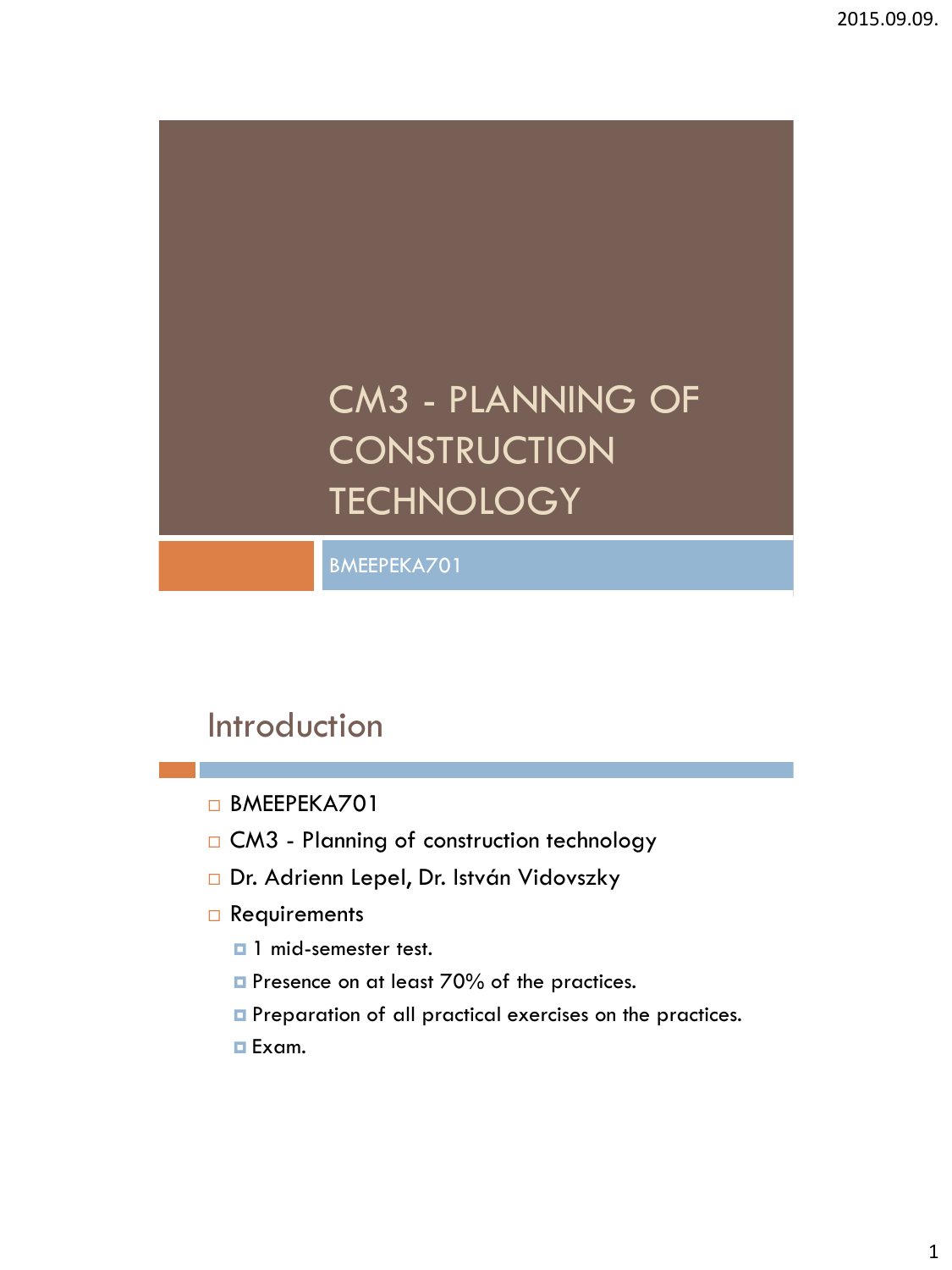# CM3 - PLANNING OF **CONSTRUCTION TECHNOLOGY**

BMEEPEKA701

# Introduction

BMEEPEKA701

- □ CM3 Planning of construction technology
- Dr. Adrienn Lepel, Dr. István Vidovszky
- Requirements
	- $\Box$  1 mid-semester test.
	- **P** Presence on at least 70% of the practices.
	- **Preparation of all practical exercises on the practices.**
	- Exam.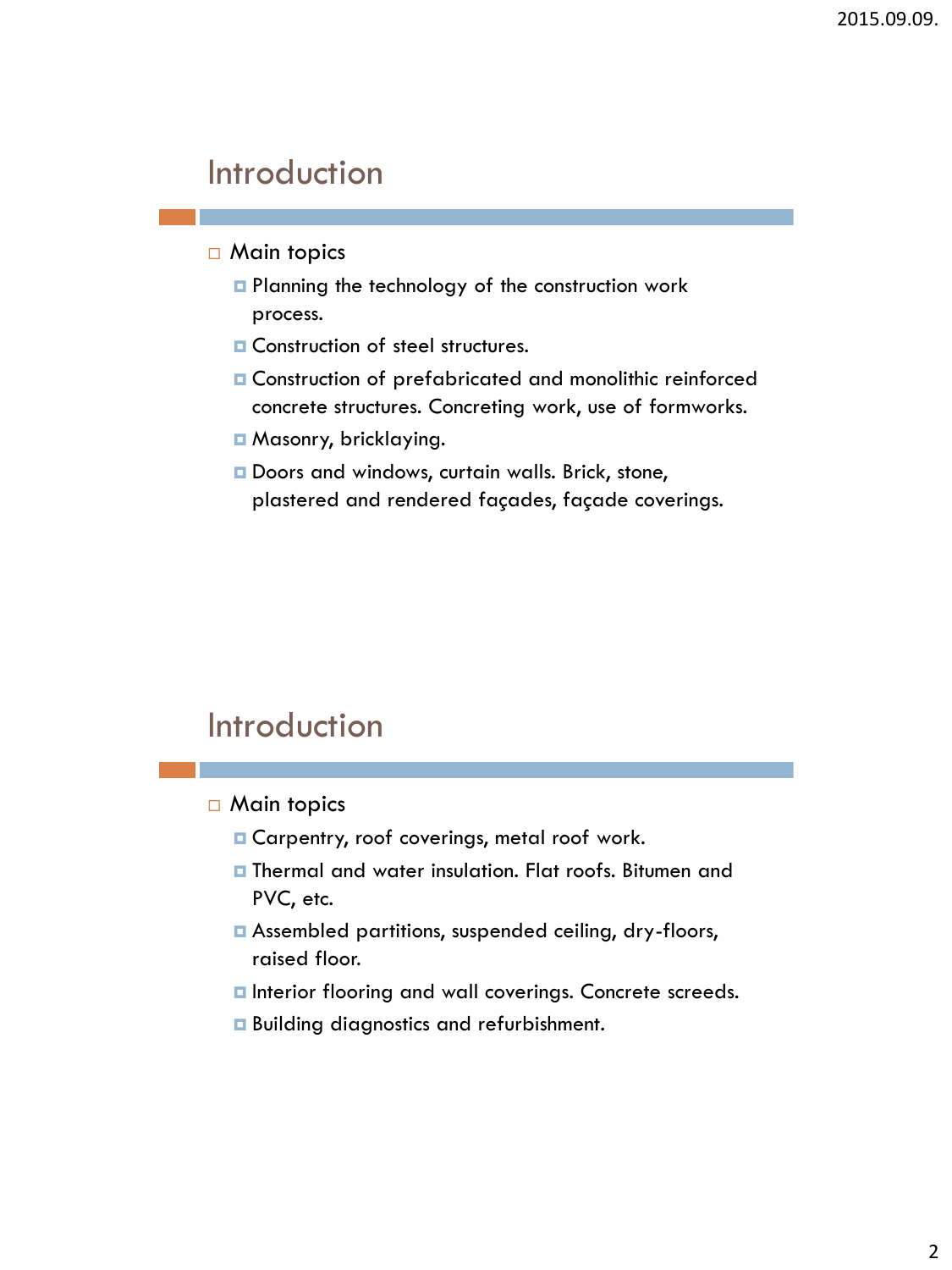### Introduction

#### $\Box$  Main topics

- **Planning the technology of the construction work** process.
- **E** Construction of steel structures.
- Construction of prefabricated and monolithic reinforced concrete structures. Concreting work, use of formworks.
- Masonry, bricklaying.
- Doors and windows, curtain walls. Brick, stone, plastered and rendered façades, façade coverings.

### Introduction

□ Main topics

- **E** Carpentry, roof coverings, metal roof work.
- **Thermal and water insulation. Flat roofs. Bitumen and** PVC, etc.
- Assembled partitions, suspended ceiling, dry-floors, raised floor.
- $\blacksquare$  Interior flooring and wall coverings. Concrete screeds.
- **Building diagnostics and refurbishment.**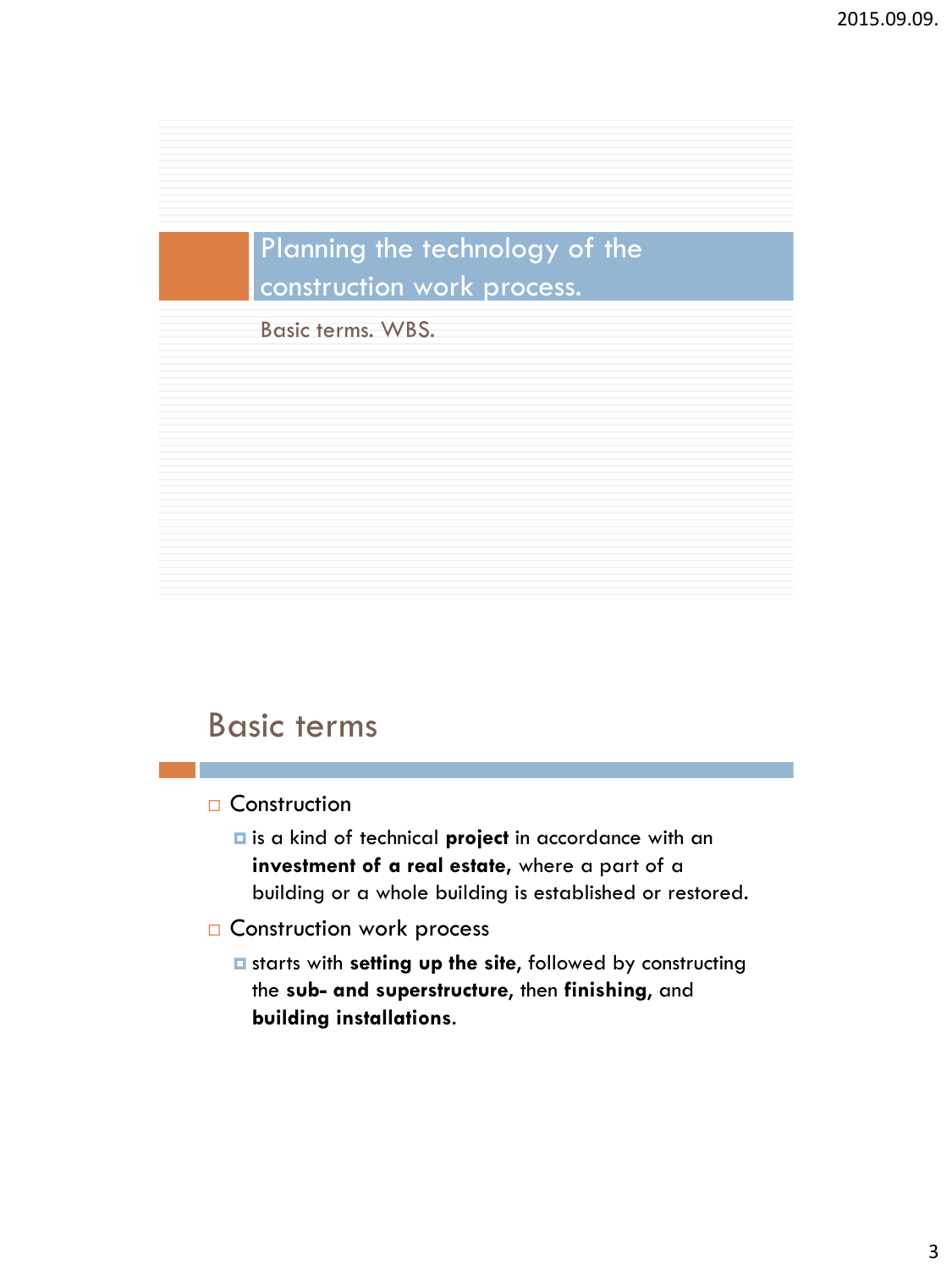### Planning the technology of the construction work process.

Basic terms. WBS.

### Basic terms

□ Construction

- is a kind of technical **project** in accordance with an **investment of a real estate,** where a part of a building or a whole building is established or restored.
- **COnstruction work process** 
	- starts with **setting up the site**, followed by constructing the **sub- and superstructure**, then **finishing**, and **building installations**.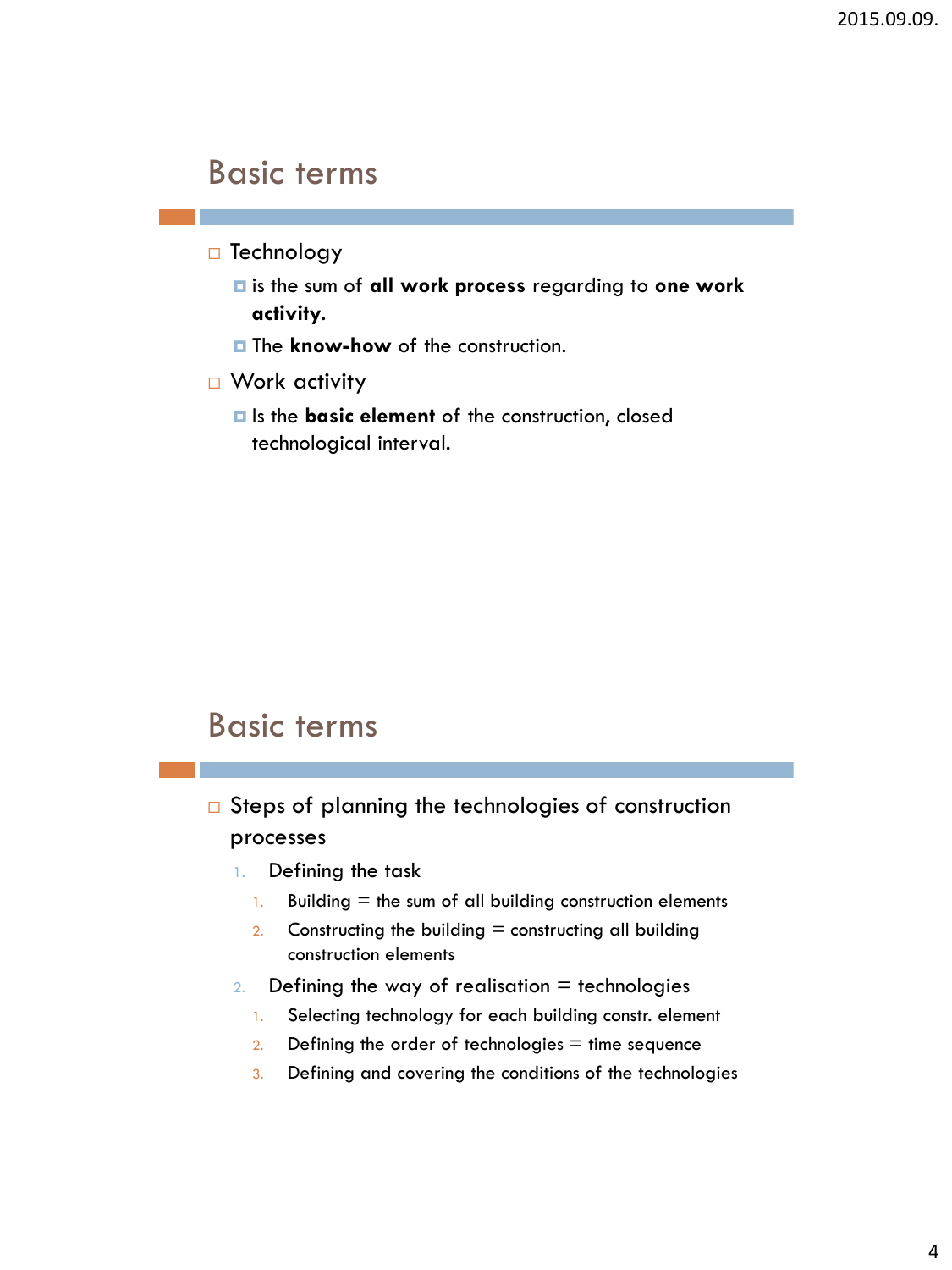### Basic terms

- $\Box$  Technology
	- is the sum of **all work process** regarding to **one work activity**.
	- **The know-how** of the construction.
- □ Work activity
	- $\blacksquare$  Is the **basic element** of the construction, closed technological interval.

### Basic terms

- $\square$  Steps of planning the technologies of construction processes
	- 1. Defining the task
		- 1. Building  $=$  the sum of all building construction elements
		- 2. Constructing the building  $=$  constructing all building construction elements
	- 2. Defining the way of realisation  $=$  technologies
		- 1. Selecting technology for each building constr. element
		- 2. Defining the order of technologies  $=$  time sequence
		- 3. Defining and covering the conditions of the technologies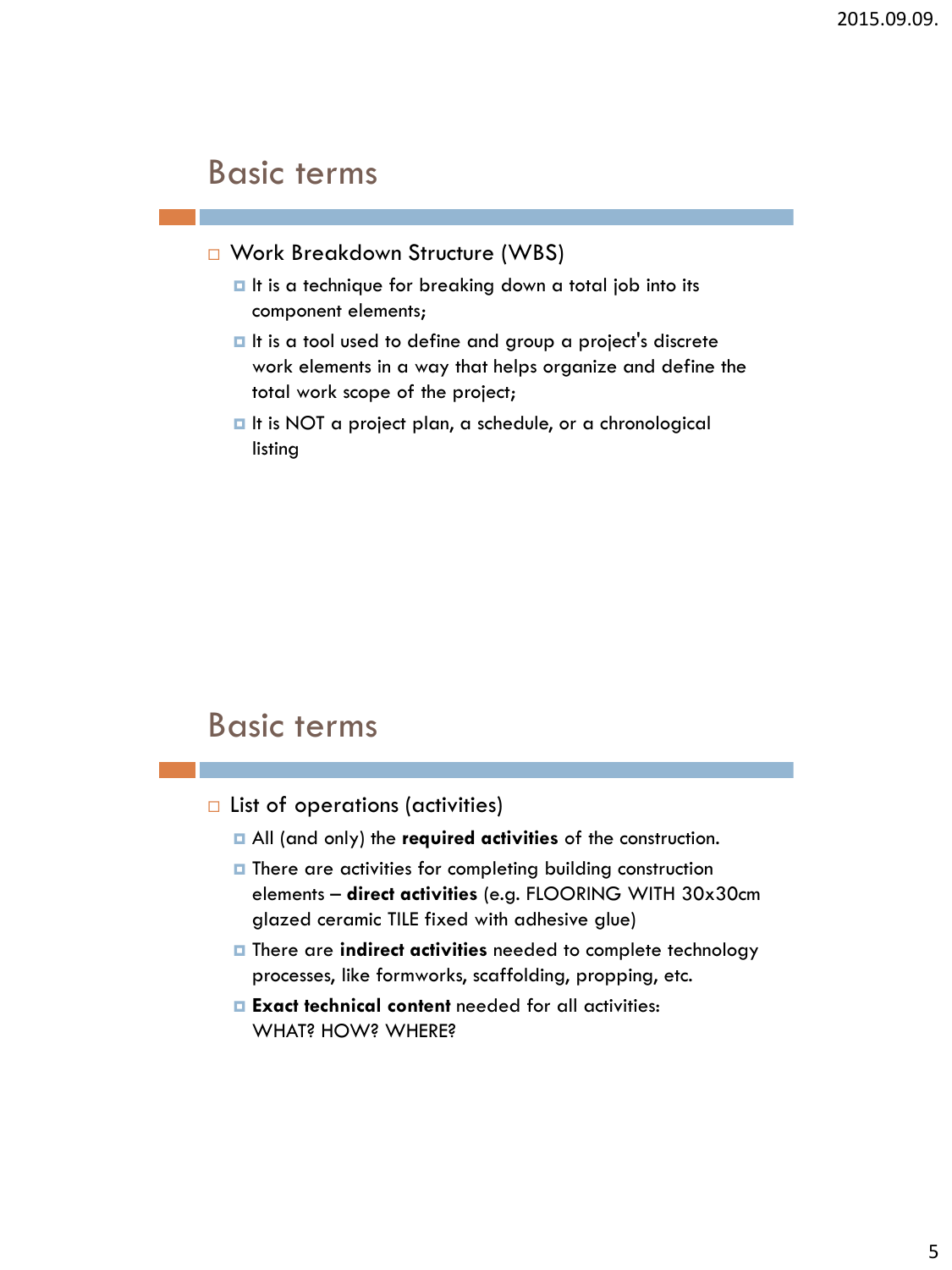### Basic terms

- □ Work Breakdown Structure (WBS)
	- It is a technique for breaking down a total job into its component elements;
	- It is a tool used to define and group a project's discrete work elements in a way that helps organize and define the total work scope of the project;
	- It is NOT a project plan, a schedule, or a chronological listing

### Basic terms

- $\Box$  List of operations (activities)
	- All (and only) the **required activities** of the construction.
	- $\blacksquare$  There are activities for completing building construction elements – **direct activities** (e.g. FLOORING WITH 30x30cm glazed ceramic TILE fixed with adhesive glue)
	- There are **indirect activities** needed to complete technology processes, like formworks, scaffolding, propping, etc.
	- **Exact technical content** needed for all activities: WHAT? HOW? WHERE?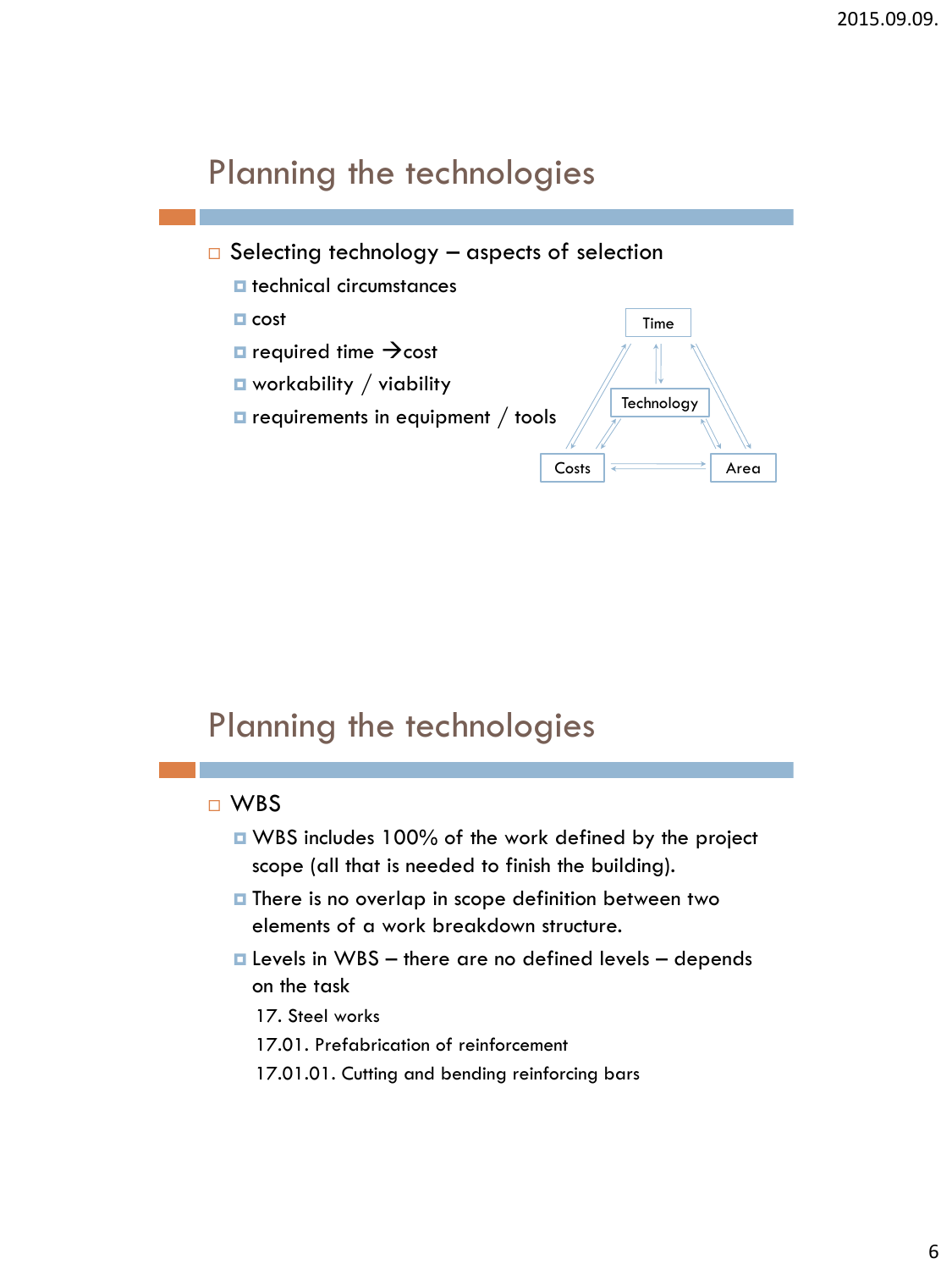- $\Box$  Selecting technology aspects of selection
	- $\blacksquare$  technical circumstances
	- $\blacksquare$  cost
	- $\Box$  required time  $\rightarrow$  cost
	- $\blacksquare$  workability / viability
	- $\blacksquare$  requirements in equipment / tools



## Planning the technologies

#### WBS

- WBS includes 100% of the work defined by the project scope (all that is needed to finish the building).
- $\blacksquare$  There is no overlap in scope definition between two elements of a work breakdown structure.
- $\blacksquare$  Levels in WBS there are no defined levels depends on the task
	- 17. Steel works
	- 17.01. Prefabrication of reinforcement
	- 17.01.01. Cutting and bending reinforcing bars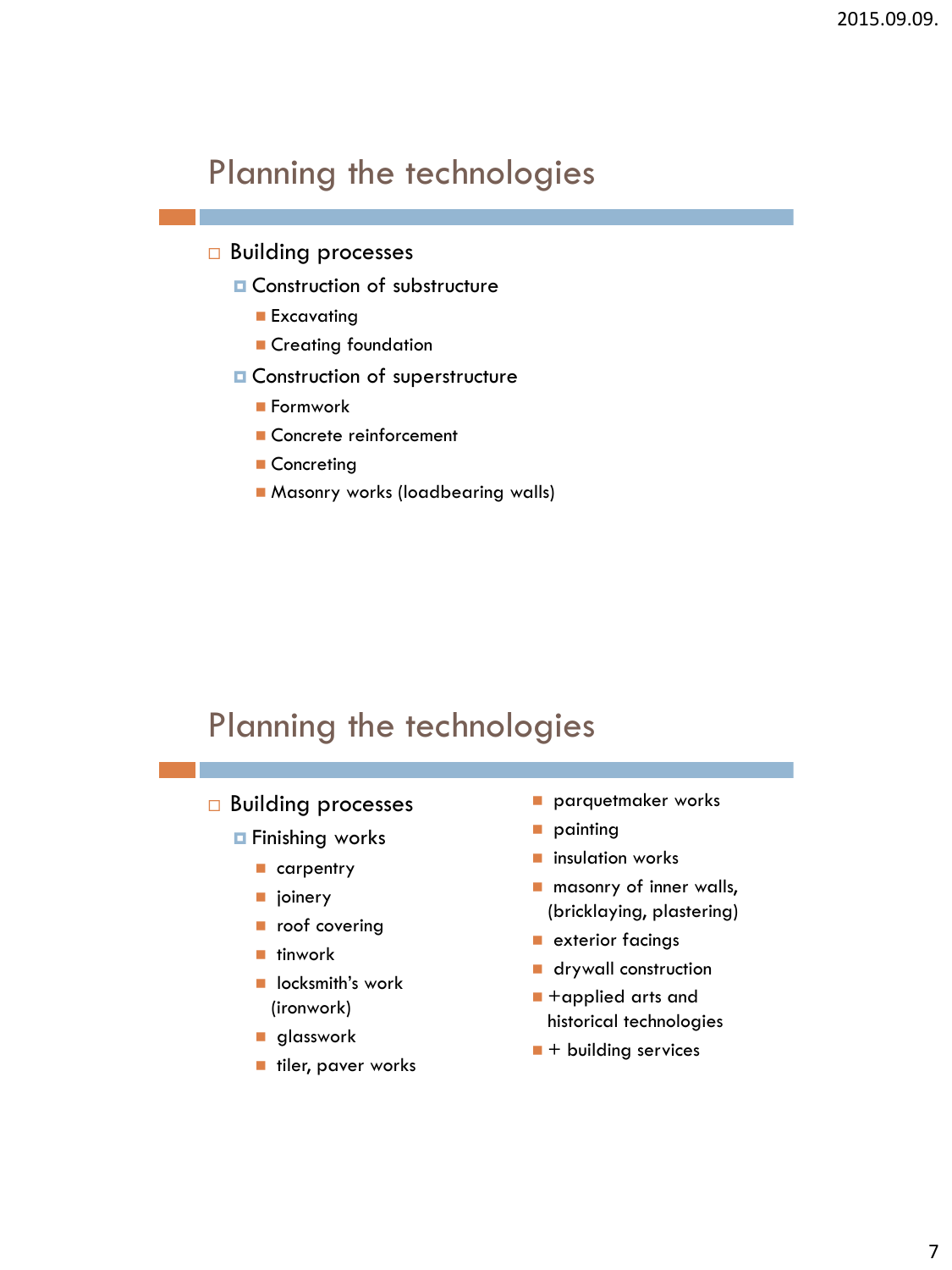#### **Building processes**

- **Q** Construction of substructure
	- **Excavating**
	- **Creating foundation**
- **O** Construction of superstructure
	- Formwork
	- Concrete reinforcement
	- Concreting
	- **Masonry works (loadbearing walls)**

# Planning the technologies

- □ Building processes
	- **□** Finishing works
		- carpentry
		- $\blacksquare$  joinery
		- covering
		- $\blacksquare$  tinwork
		- locksmith's work (ironwork)
		- **glasswork**
		- tiler, paver works
- **parquetmaker works**
- **painting**
- **n** insulation works
- **n** masonry of inner walls, (bricklaying, plastering)
- **E** exterior facings
- **drywall construction**
- +applied arts and historical technologies
- $\blacksquare$  + building services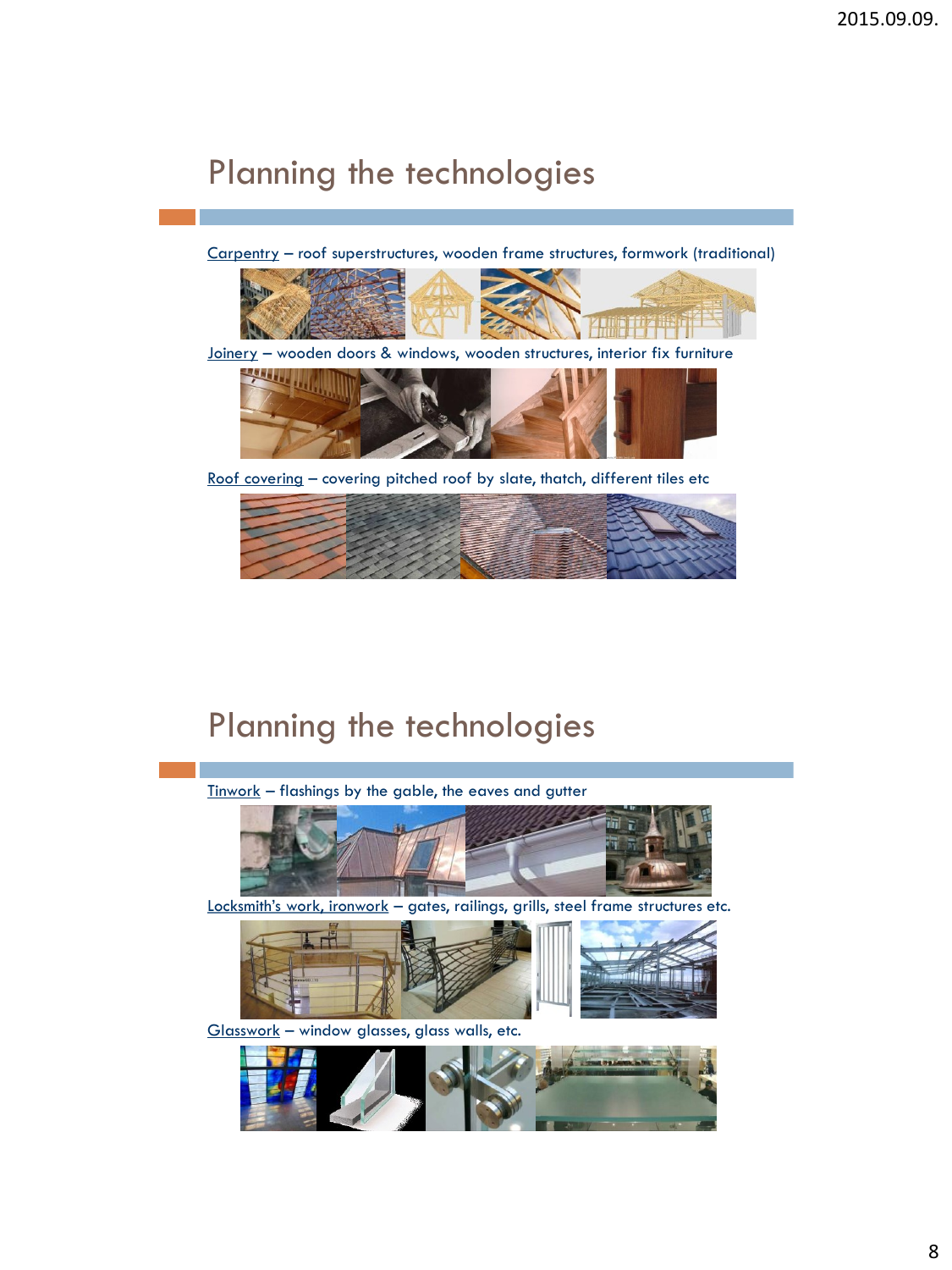Carpentry – roof superstructures, wooden frame structures, formwork (traditional)



Joinery – wooden doors & windows, wooden structures, interior fix furniture



Roof covering – covering pitched roof by slate, thatch, different tiles etc



# Planning the technologies

 $Tinwork - flashing by the gable, the eaves and gutter$ </u>



Locksmith's work, ironwork - gates, railings, grills, steel frame structures etc.



Glasswork – window glasses, glass walls, etc.

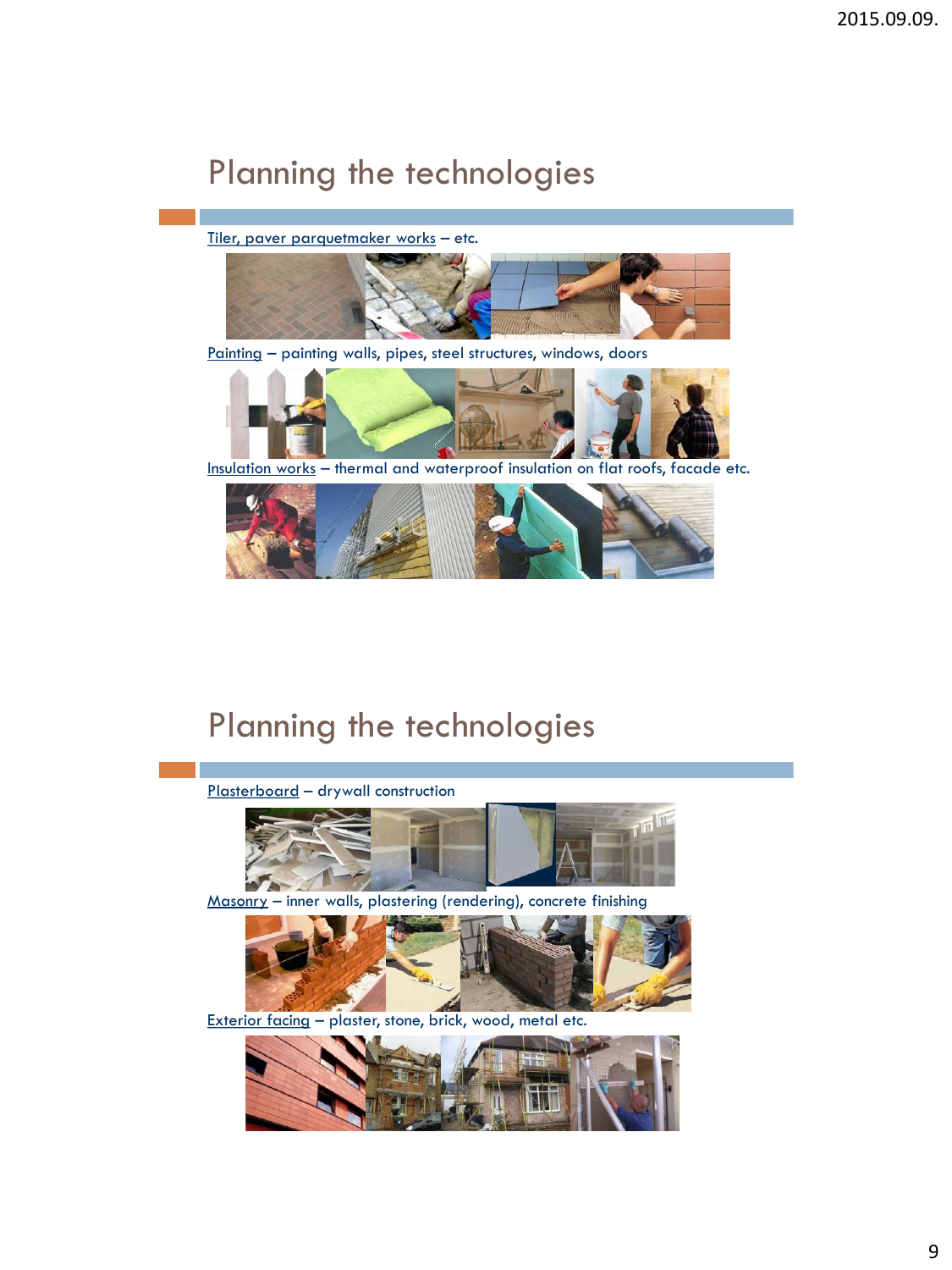Tiler, paver parquetmaker works – etc.



Painting – painting walls, pipes, steel structures, windows, doors



Insulation works – thermal and waterproof insulation on flat roofs, facade etc.



## Planning the technologies



Masonry – inner walls, plastering (rendering), concrete finishing



Exterior facing – plaster, stone, brick, wood, metal etc.

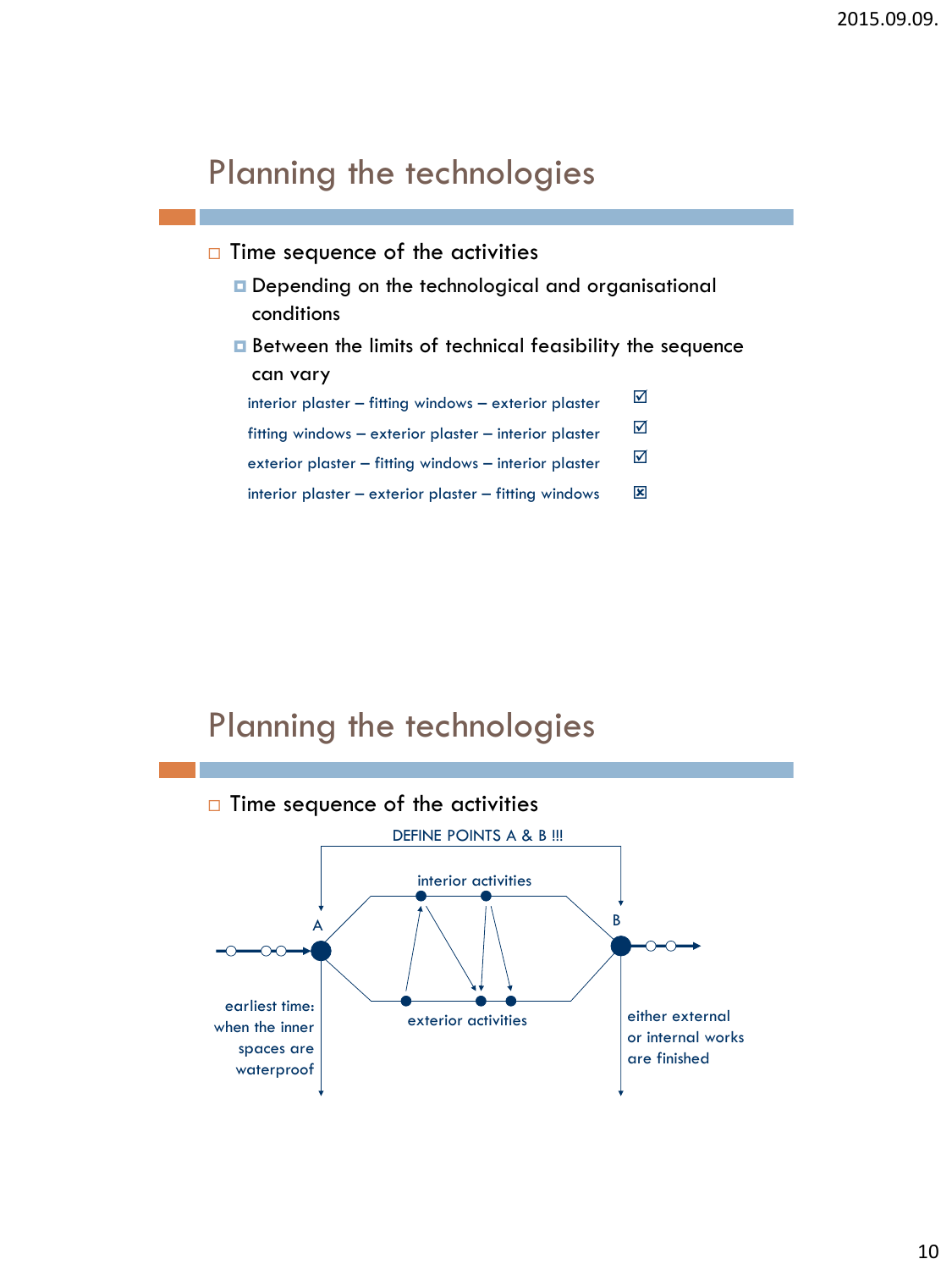- $\Box$  Time sequence of the activities
	- Depending on the technological and organisational conditions
	- Between the limits of technical feasibility the sequence can vary

interior plaster – fitting windows – exterior plaster ☑

fitting windows – exterior plaster – interior plaster  $\Box$ 

- exterior plaster fitting windows interior plaster  $\Box$
- 区 interior plaster – exterior plaster – fitting windows

## Planning the technologies